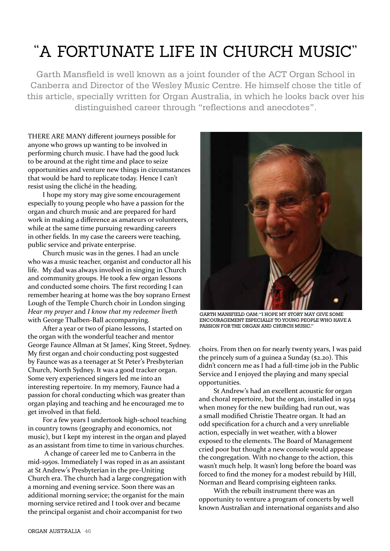## "A FORTUNATE LiFE iN CHURCH MUSiC"

Garth Mansfield is well known as a joint founder of the ACT Organ School in Canberra and Director of the Wesley Music Centre. He himself chose the title of this article, specially written for Organ Australia, in which he looks back over his distinguished career through "reflections and anecdotes".

THERE ARE MANY different journeys possible for anyone who grows up wanting to be involved in performing church music. I have had the good luck to be around at the right time and place to seize opportunities and venture new things in circumstances that would be hard to replicate today. Hence I can't resist using the cliché in the heading.

I hope my story may give some encouragement especially to young people who have a passion for the organ and church music and are prepared for hard work in making a difference as amateurs or volunteers, while at the same time pursuing rewarding careers in other fields. In my case the careers were teaching, public service and private enterprise.

Church music was in the genes. I had an uncle who was a music teacher, organist and conductor all his life. My dad was always involved in singing in Church and community groups. He took a few organ lessons and conducted some choirs. The first recording I can remember hearing at home was the boy soprano Ernest Lough of the Temple Church choir in London singing *Hear my prayer* and  with George Thalben-Ball accompanying.

After a year or two of piano lessons, I started on the organ with the wonderful teacher and mentor George Faunce Allman at St James', King Street, Sydney. My first organ and choir conducting post suggested by Faunce was as a teenager at St Peter's Presbyterian Church, North Sydney. It was a good tracker organ. Some very experienced singers led me into an interesting repertoire. In my memory, Faunce had a passion for choral conducting which was greater than organ playing and teaching and he encouraged me to get involved in that field.

For a few years I undertook high-school teaching in country towns (geography and economics, not music), but I kept my interest in the organ and played as an assistant from time to time in various churches.

 A change of career led me to Canberra in the mid-1950s. Immediately I was roped in as an assistant at St Andrew's Presbyterian in the pre-Uniting Church era. The church had a large congregation with a morning and evening service. Soon there was an additional morning service; the organist for the main morning service retired and I took over and became the principal organist and choir accompanist for two



GARTH MANSFIELD OAM: "I HOPE MY STORY MAY GIVE SOME ENCOURAGEMENT ESPECIALLY TO YOUNG PEOPLE WHO HAVE A PASSION FOR THE ORGAN AND CHURCH MUSIC."

choirs. From then on for nearly twenty years, I was paid the princely sum of a guinea a Sunday (\$2.20). This didn't concern me as I had a full-time job in the Public Service and I enjoyed the playing and many special opportunities.

St Andrew's had an excellent acoustic for organ and choral repertoire, but the organ, installed in 1934 when money for the new building had run out, was a small modified Christie Theatre organ. It had an odd specification for a church and a very unreliable action, especially in wet weather, with a blower exposed to the elements. The Board of Management cried poor but thought a new console would appease the congregation. With no change to the action, this wasn't much help. It wasn't long before the board was forced to find the money for a modest rebuild by Hill, Norman and Beard comprising eighteen ranks.

With the rebuilt instrument there was an opportunity to venture a program of concerts by well known Australian and international organists and also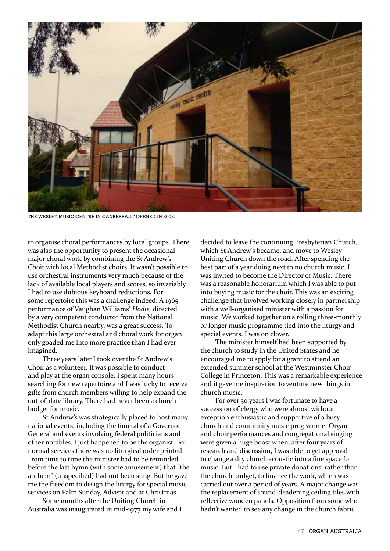

THE WESLEY MUSIC CENTRE IN CANBERRA. IT OPENED IN 2002.

to organise choral performances by local groups. There was also the opportunity to present the occasional major choral work by combining the St Andrew's Choir with local Methodist choirs. It wasn't possible to use orchestral instruments very much because of the lack of available local players and scores, so invariably I had to use dubious keyboard reductions. For some repertoire this was a challenge indeed. A 1965 performance of Vaughan Williams' *Hodie,* directed by a very competent conductor from the National Methodist Church nearby, was a great success. To adapt this large orchestral and choral work for organ only goaded me into more practice than I had ever imagined.

Three years later I took over the St Andrew's Choir as a volunteer. It was possible to conduct and play at the organ console. I spent many hours searching for new repertoire and I was lucky to receive gifts from church members willing to help expand the out-of-date library. There had never been a church budget for music.

St Andrew's was strategically placed to host many national events, including the funeral of a Governor-General and events involving federal politicians and other notables. I just happened to be the organist. For normal services there was no liturgical order printed. From time to time the minister had to be reminded before the last hymn (with some amusement) that "the anthem" (unspecified) had not been sung. But he gave me the freedom to design the liturgy for special music services on Palm Sunday, Advent and at Christmas.

Some months after the Uniting Church in Australia was inaugurated in mid-1977 my wife and I decided to leave the continuing Presbyterian Church, which St Andrew's became, and move to Wesley Uniting Church down the road. After spending the best part of a year doing next to no church music, I was invited to become the Director of Music. There was a reasonable honorarium which I was able to put into buying music for the choir. This was an exciting challenge that involved working closely in partnership with a well-organised minister with a passion for music. We worked together on a rolling three-monthly or longer music programme tied into the liturgy and special events. I was on clover.

The minister himself had been supported by the church to study in the United States and he encouraged me to apply for a grant to attend an extended summer school at the Westminster Choir College in Princeton. This was a remarkable experience and it gave me inspiration to venture new things in church music.

For over 30 years I was fortunate to have a succession of clergy who were almost without exception enthusiastic and supportive of a busy church and community music programme. Organ and choir performances and congregational singing were given a huge boost when, after four years of research and discussion, I was able to get approval to change a dry church acoustic into a fine space for music. But I had to use private donations, rather than the church budget, to finance the work, which was carried out over a period of years. A major change was the replacement of sound-deadening ceiling tiles with reflective wooden panels. Opposition from some who hadn't wanted to see any change in the church fabric